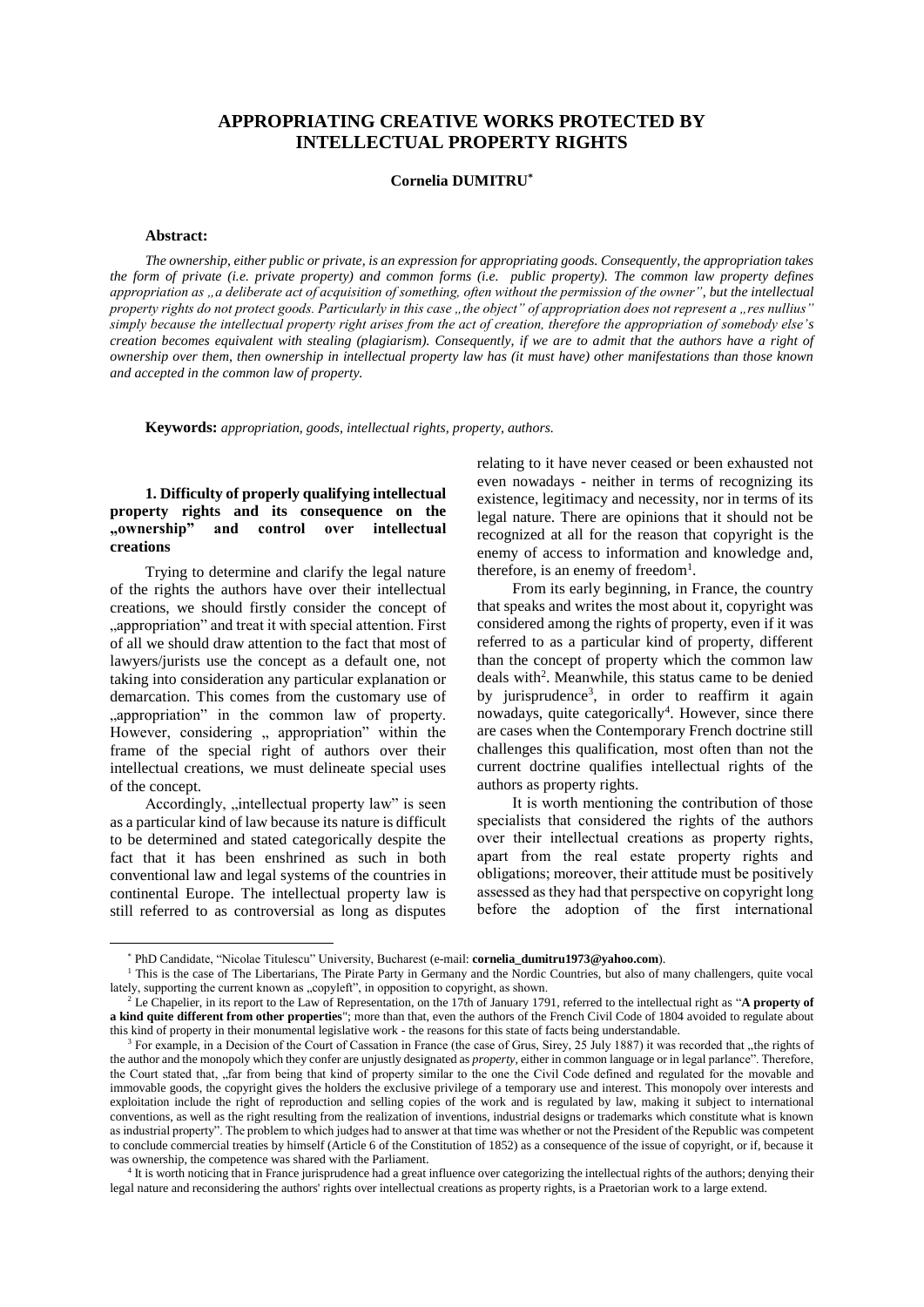# **APPROPRIATING CREATIVE WORKS PROTECTED BY INTELLECTUAL PROPERTY RIGHTS**

### **Cornelia DUMITRU\***

### **Abstract:**

*The ownership, either public or private, is an expression for appropriating goods. Consequently, the appropriation takes the form of private (i.e. private property) and common forms (i.e. public property). The common law property defines appropriation as "a deliberate act of acquisition of something, often without the permission of the owner", but the intellectual property rights do not protect goods. Particularly in this case "the object" of appropriation does not represent a "res nullius" simply because the intellectual property right arises from the act of creation, therefore the appropriation of somebody else's creation becomes equivalent with stealing (plagiarism). Consequently, if we are to admit that the authors have a right of ownership over them, then ownership in intellectual property law has (it must have) other manifestations than those known and accepted in the common law of property.*

**Keywords:** *appropriation, goods, intellectual rights, property, authors.*

## **1. Difficulty of properly qualifying intellectual property rights and its consequence on the "ownership" and control over intellectual creations**\*

Trying to determine and clarify the legal nature of the rights the authors have over their intellectual creations, we should firstly consider the concept of "appropriation" and treat it with special attention. First of all we should draw attention to the fact that most of lawyers/jurists use the concept as a default one, not taking into consideration any particular explanation or demarcation. This comes from the customary use of "appropriation" in the common law of property. However, considering ,, appropriation" within the frame of the special right of authors over their intellectual creations, we must delineate special uses of the concept.

Accordingly, "intellectual property law" is seen as a particular kind of law because its nature is difficult to be determined and stated categorically despite the fact that it has been enshrined as such in both conventional law and legal systems of the countries in continental Europe. The intellectual property law is still referred to as controversial as long as disputes

 $\overline{a}$ 

relating to it have never ceased or been exhausted not even nowadays - neither in terms of recognizing its existence, legitimacy and necessity, nor in terms of its legal nature. There are opinions that it should not be recognized at all for the reason that copyright is the enemy of access to information and knowledge and, therefore, is an enemy of freedom<sup>1</sup>.

From its early beginning, in France, the country that speaks and writes the most about it, copyright was considered among the rights of property, even if it was referred to as a particular kind of property, different than the concept of property which the common law deals with<sup>2</sup>. Meanwhile, this status came to be denied by jurisprudence<sup>3</sup>, in order to reaffirm it again nowadays, quite categorically<sup>4</sup>. However, since there are cases when the Contemporary French doctrine still challenges this qualification, most often than not the current doctrine qualifies intellectual rights of the authors as property rights.

It is worth mentioning the contribution of those specialists that considered the rights of the authors over their intellectual creations as property rights, apart from the real estate property rights and obligations; moreover, their attitude must be positively assessed as they had that perspective on copyright long before the adoption of the first international

<sup>\*</sup> PhD Candidate, "Nicolae Titulescu" University, Bucharest (e-mail: **cornelia\_dumitru1973@yahoo.com**).

<sup>&</sup>lt;sup>1</sup> This is the case of The Libertarians, The Pirate Party in Germany and the Nordic Countries, but also of many challengers, quite vocal lately, supporting the current known as "copyleft", in opposition to copyright, as shown.

<sup>2</sup> Le Chapelier, in its report to the Law of Representation, on the 17th of January 1791, referred to the intellectual right as "**A property of a kind quite different from other properties**"; more than that, even the authors of the French Civil Code of 1804 avoided to regulate about this kind of property in their monumental legislative work - the reasons for this state of facts being understandable.

<sup>&</sup>lt;sup>3</sup> For example, in a Decision of the Court of Cassation in France (the case of Grus, Sirey, 25 July 1887) it was recorded that "the rights of the author and the monopoly which they confer are unjustly designated as *property*, either in common language or in legal parlance". Therefore, the Court stated that, "far from being that kind of property similar to the one the Civil Code defined and regulated for the movable and immovable goods, the copyright gives the holders the exclusive privilege of a temporary use and interest. This monopoly over interests and exploitation include the right of reproduction and selling copies of the work and is regulated by law, making it subject to international conventions, as well as the right resulting from the realization of inventions, industrial designs or trademarks which constitute what is known as industrial property". The problem to which judges had to answer at that time was whether or not the President of the Republic was competent to conclude commercial treaties by himself (Article 6 of the Constitution of 1852) as a consequence of the issue of copyright, or if, because it was ownership, the competence was shared with the Parliament.

<sup>&</sup>lt;sup>4</sup> It is worth noticing that in France jurisprudence had a great influence over categorizing the intellectual rights of the authors; denying their legal nature and reconsidering the authors' rights over intellectual creations as property rights, is a Praetorian work to a large extend.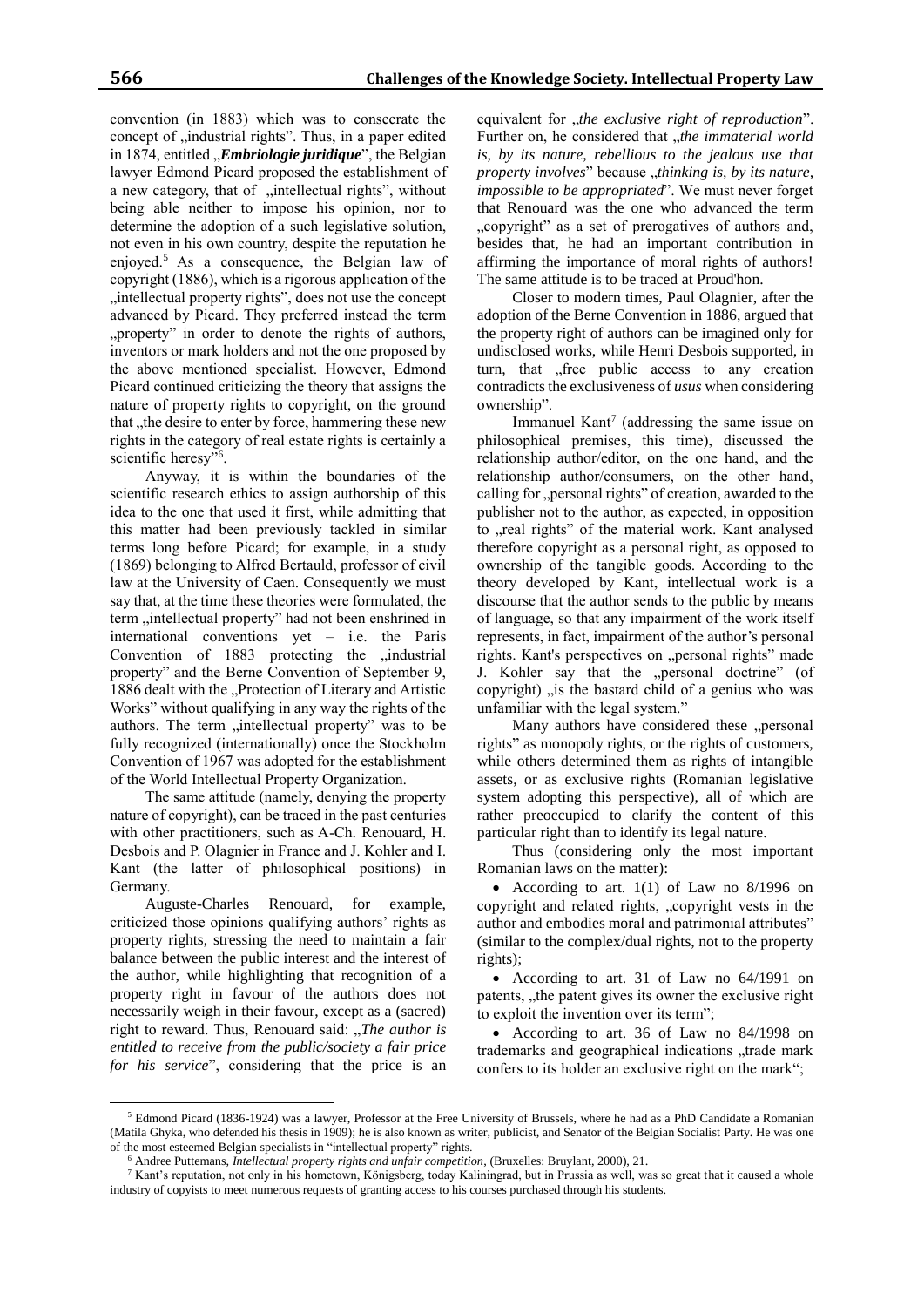convention (in 1883) which was to consecrate the concept of ,,industrial rights". Thus, in a paper edited in 1874, entitled "*Embriologie juridique*", the Belgian lawyer Edmond Picard proposed the establishment of a new category, that of "intellectual rights", without being able neither to impose his opinion, nor to determine the adoption of a such legislative solution, not even in his own country, despite the reputation he enjoyed.<sup>5</sup> As a consequence, the Belgian law of copyright (1886), which is a rigorous application of the , intellectual property rights", does not use the concept advanced by Picard. They preferred instead the term ", property" in order to denote the rights of authors, inventors or mark holders and not the one proposed by the above mentioned specialist. However, Edmond Picard continued criticizing the theory that assigns the nature of property rights to copyright, on the ground that , the desire to enter by force, hammering these new rights in the category of real estate rights is certainly a scientific heresy"<sup>6</sup>.

Anyway, it is within the boundaries of the scientific research ethics to assign authorship of this idea to the one that used it first, while admitting that this matter had been previously tackled in similar terms long before Picard; for example, in a study (1869) belonging to Alfred Bertauld, professor of civil law at the University of Caen. Consequently we must say that, at the time these theories were formulated, the term "intellectual property" had not been enshrined in international conventions yet – i.e. the Paris Convention of 1883 protecting the "industrial property" and the Berne Convention of September 9, 1886 dealt with the "Protection of Literary and Artistic Works" without qualifying in any way the rights of the authors. The term "intellectual property" was to be fully recognized (internationally) once the Stockholm Convention of 1967 was adopted for the establishment of the World Intellectual Property Organization.

The same attitude (namely, denying the property nature of copyright), can be traced in the past centuries with other practitioners, such as A-Ch. Renouard, H. Desbois and P. Olagnier in France and J. Kohler and I. Kant (the latter of philosophical positions) in Germany.

Auguste-Charles Renouard, for example, criticized those opinions qualifying authors' rights as property rights, stressing the need to maintain a fair balance between the public interest and the interest of the author, while highlighting that recognition of a property right in favour of the authors does not necessarily weigh in their favour, except as a (sacred) right to reward. Thus, Renouard said: "*The author is entitled to receive from the public/society a fair price for his service*", considering that the price is an

 $\overline{a}$ 

equivalent for "the exclusive right of reproduction". Further on, he considered that *"the immaterial world is, by its nature, rebellious to the jealous use that property involves*" because "thinking is, by its nature, *impossible to be appropriated*". We must never forget that Renouard was the one who advanced the term "copyright" as a set of prerogatives of authors and, besides that, he had an important contribution in affirming the importance of moral rights of authors! The same attitude is to be traced at Proud'hon.

Closer to modern times, Paul Olagnier, after the adoption of the Berne Convention in 1886, argued that the property right of authors can be imagined only for undisclosed works, while Henri Desbois supported, in turn, that , free public access to any creation contradicts the exclusiveness of *usus* when considering ownership".

Immanuel Kant<sup>7</sup> (addressing the same issue on philosophical premises, this time), discussed the relationship author/editor, on the one hand, and the relationship author/consumers, on the other hand, calling for "personal rights" of creation, awarded to the publisher not to the author, as expected, in opposition to "real rights" of the material work. Kant analysed therefore copyright as a personal right, as opposed to ownership of the tangible goods. According to the theory developed by Kant, intellectual work is a discourse that the author sends to the public by means of language, so that any impairment of the work itself represents, in fact, impairment of the author's personal rights. Kant's perspectives on "personal rights" made J. Kohler say that the "personal doctrine" (of copyright)  $\alpha$ , is the bastard child of a genius who was unfamiliar with the legal system."

Many authors have considered these "personal rights" as monopoly rights, or the rights of customers, while others determined them as rights of intangible assets, or as exclusive rights (Romanian legislative system adopting this perspective), all of which are rather preoccupied to clarify the content of this particular right than to identify its legal nature.

Thus (considering only the most important Romanian laws on the matter):

• According to art.  $1(1)$  of Law no 8/1996 on copyright and related rights, "copyright vests in the author and embodies moral and patrimonial attributes" (similar to the complex/dual rights, not to the property rights);

 According to art. 31 of Law no 64/1991 on patents, the patent gives its owner the exclusive right to exploit the invention over its term";

 According to art. 36 of Law no 84/1998 on trademarks and geographical indications "trade mark confers to its holder an exclusive right on the mark";

<sup>5</sup> Edmond Picard (1836-1924) was a lawyer, Professor at the Free University of Brussels, where he had as a PhD Candidate a Romanian (Matila Ghyka, who defended his thesis in 1909); he is also known as writer, publicist, and Senator of the Belgian Socialist Party. He was one of the most esteemed Belgian specialists in "intellectual property" rights.

<sup>6</sup> Andree Puttemans, *Intellectual property rights and unfair competition*, (Bruxelles: Bruylant, 2000), 21.

<sup>7</sup> Kant's reputation, not only in his hometown, Königsberg, today Kaliningrad, but in Prussia as well, was so great that it caused a whole industry of copyists to meet numerous requests of granting access to his courses purchased through his students.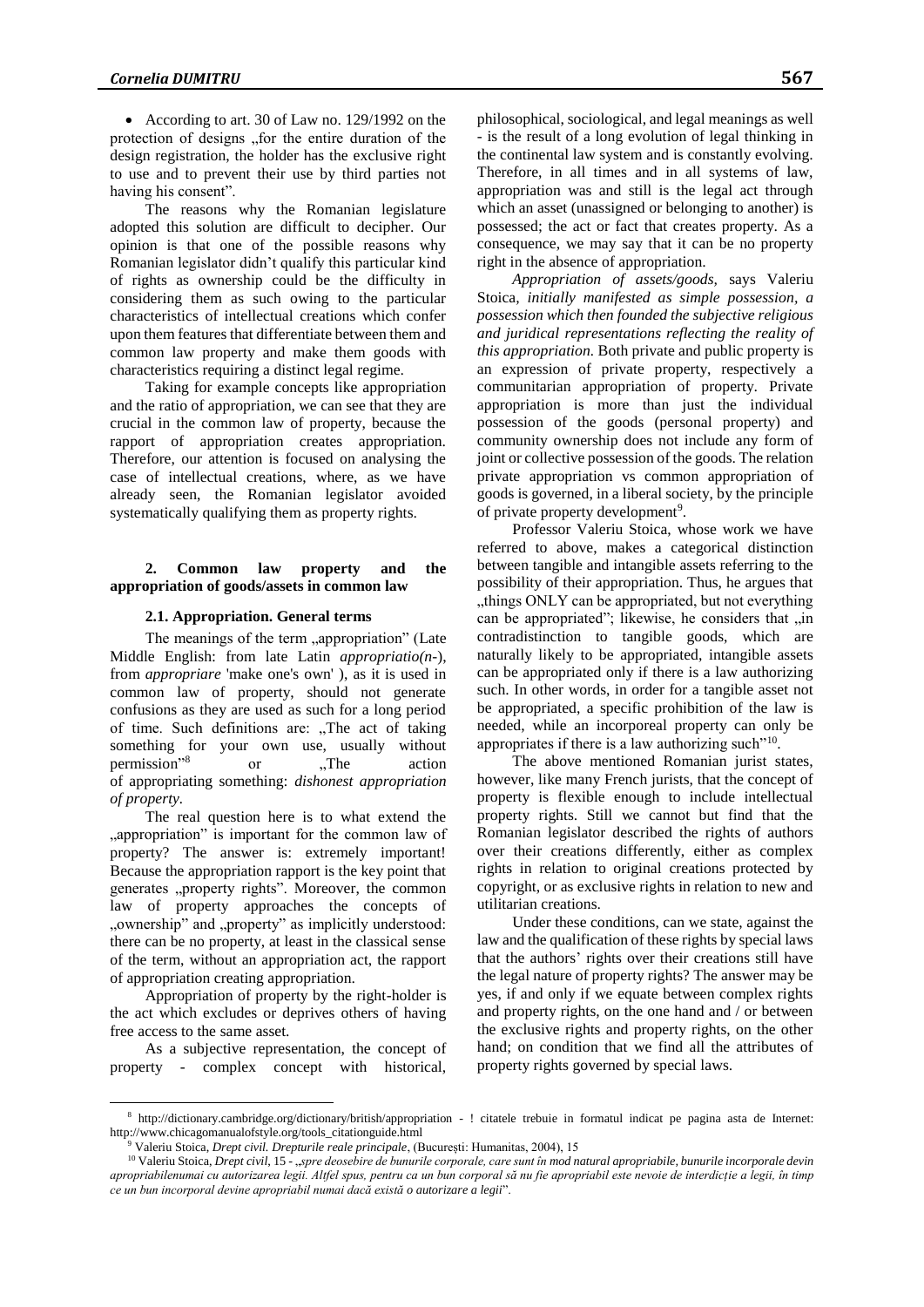• According to art. 30 of Law no. 129/1992 on the protection of designs, for the entire duration of the design registration, the holder has the exclusive right to use and to prevent their use by third parties not having his consent".

The reasons why the Romanian legislature adopted this solution are difficult to decipher. Our opinion is that one of the possible reasons why Romanian legislator didn't qualify this particular kind of rights as ownership could be the difficulty in considering them as such owing to the particular characteristics of intellectual creations which confer upon them features that differentiate between them and common law property and make them goods with characteristics requiring a distinct legal regime.

Taking for example concepts like appropriation and the ratio of appropriation, we can see that they are crucial in the common law of property, because the rapport of appropriation creates appropriation. Therefore, our attention is focused on analysing the case of intellectual creations, where, as we have already seen, the Romanian legislator avoided systematically qualifying them as property rights.

### **2. Common law property and the appropriation of goods/assets in common law**

#### **2.1. Appropriation. General terms**

The meanings of the term "appropriation" (Late Middle English: from late Latin *appropriatio(n-*), from *appropriare* 'make one's own' ), as it is used in common law of property, should not generate confusions as they are used as such for a long period of time. Such definitions are: "The act of taking something for your own use, usually without permission" or "The action" of appropriating something: *dishonest appropriation of property.*

The real question here is to what extend the , appropriation" is important for the common law of property? The answer is: extremely important! Because the appropriation rapport is the key point that generates "property rights". Moreover, the common law of property approaches the concepts of "ownership" and "property" as implicitly understood: there can be no property, at least in the classical sense of the term, without an appropriation act, the rapport of appropriation creating appropriation.

Appropriation of property by the right-holder is the act which excludes or deprives others of having free access to the same asset.

As a subjective representation, the concept of property - complex concept with historical,

 $\overline{a}$ 

philosophical, sociological, and legal meanings as well - is the result of a long evolution of legal thinking in the continental law system and is constantly evolving. Therefore, in all times and in all systems of law, appropriation was and still is the legal act through which an asset (unassigned or belonging to another) is possessed; the act or fact that creates property. As a consequence, we may say that it can be no property right in the absence of appropriation.

*Appropriation of assets/goods,* says Valeriu Stoica*, initially manifested as simple possession, a possession which then founded the subjective religious and juridical representations reflecting the reality of this appropriation.* Both private and public property is an expression of private property, respectively a communitarian appropriation of property. Private appropriation is more than just the individual possession of the goods (personal property) and community ownership does not include any form of joint or collective possession of the goods. The relation private appropriation vs common appropriation of goods is governed, in a liberal society, by the principle of private property development<sup>9</sup>.

Professor Valeriu Stoica, whose work we have referred to above, makes a categorical distinction between tangible and intangible assets referring to the possibility of their appropriation. Thus, he argues that "things ONLY can be appropriated, but not everything can be appropriated"; likewise, he considers that ,,in contradistinction to tangible goods, which are naturally likely to be appropriated, intangible assets can be appropriated only if there is a law authorizing such. In other words, in order for a tangible asset not be appropriated, a specific prohibition of the law is needed, while an incorporeal property can only be appropriates if there is a law authorizing such"<sup>10</sup>.

The above mentioned Romanian jurist states, however, like many French jurists, that the concept of property is flexible enough to include intellectual property rights. Still we cannot but find that the Romanian legislator described the rights of authors over their creations differently, either as complex rights in relation to original creations protected by copyright, or as exclusive rights in relation to new and utilitarian creations.

Under these conditions, can we state, against the law and the qualification of these rights by special laws that the authors' rights over their creations still have the legal nature of property rights? The answer may be yes, if and only if we equate between complex rights and property rights, on the one hand and / or between the exclusive rights and property rights, on the other hand; on condition that we find all the attributes of property rights governed by special laws.

<sup>8</sup> http://dictionary.cambridge.org/dictionary/british/appropriation - ! citatele trebuie in formatul indicat pe pagina asta de Internet: http://www.chicagomanualofstyle.org/tools\_citationguide.html

<sup>9</sup> Valeriu Stoica, *Drept civil. Drepturile reale principale*, (București: Humanitas, 2004), 15

<sup>&</sup>lt;sup>10</sup> Valeriu Stoica, *Drept civil*, 15 - "spre deosebire de bunurile corporale, care sunt în mod natural apropriabile, bunurile incorporale devin *apropriabilenumai cu autorizarea legii. Altfel spus, pentru ca un bun corporal să nu fie apropriabil este nevoie de interdicție a legii, în timp ce un bun incorporal devine apropriabil numai dacă există o autorizare a legii*".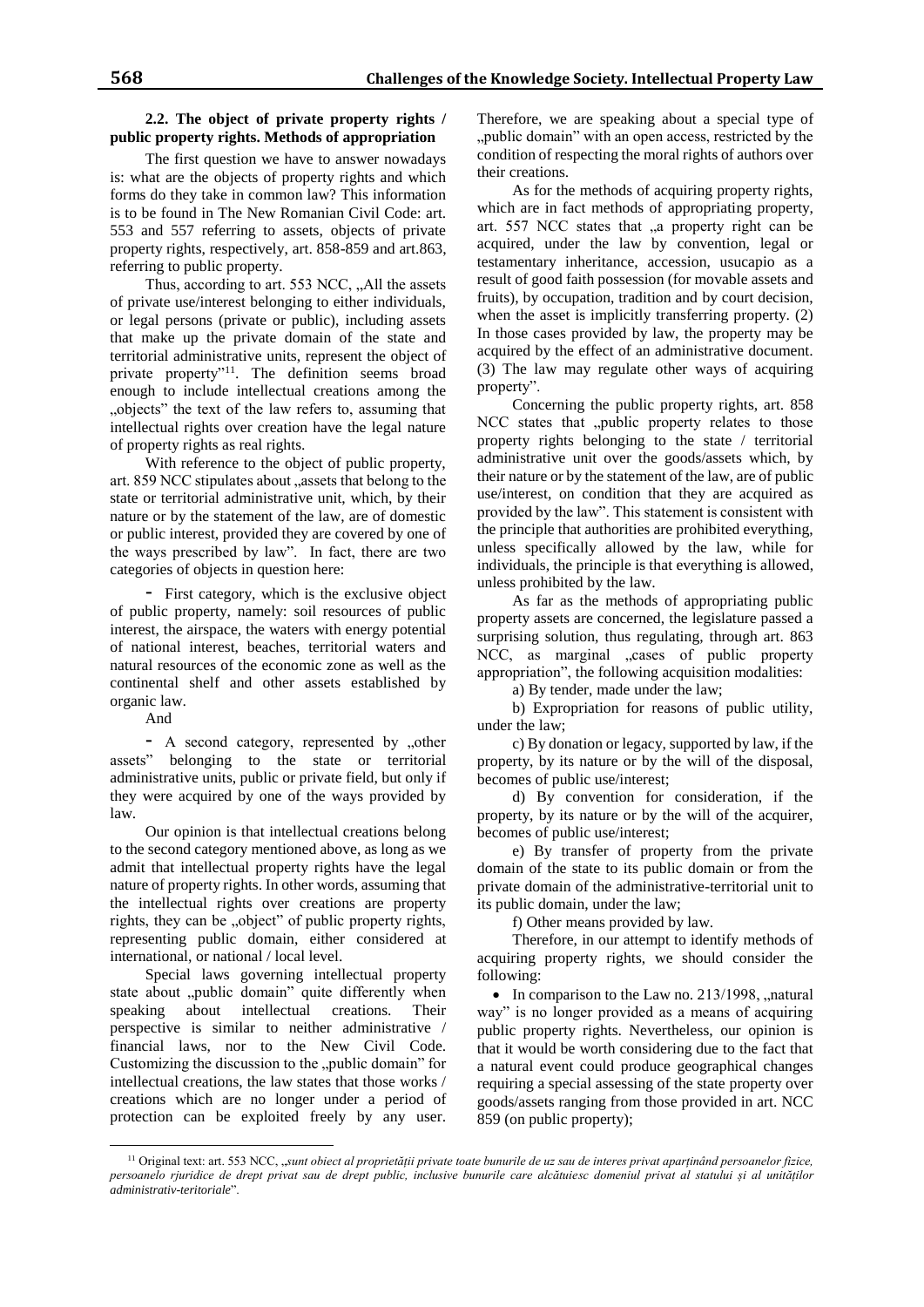### **2.2. The object of private property rights / public property rights. Methods of appropriation**

The first question we have to answer nowadays is: what are the objects of property rights and which forms do they take in common law? This information is to be found in The New Romanian Civil Code: art. 553 and 557 referring to assets, objects of private property rights, respectively, art. 858-859 and art.863, referring to public property.

Thus, according to art. 553 NCC, "All the assets of private use/interest belonging to either individuals, or legal persons (private or public), including assets that make up the private domain of the state and territorial administrative units, represent the object of private property"<sup>11</sup>. The definition seems broad enough to include intellectual creations among the "objects" the text of the law refers to, assuming that intellectual rights over creation have the legal nature of property rights as real rights.

With reference to the object of public property, art. 859 NCC stipulates about , assets that belong to the state or territorial administrative unit, which, by their nature or by the statement of the law, are of domestic or public interest, provided they are covered by one of the ways prescribed by law". In fact, there are two categories of objects in question here:

- First category, which is the exclusive object of public property, namely: soil resources of public interest, the airspace, the waters with energy potential of national interest, beaches, territorial waters and natural resources of the economic zone as well as the continental shelf and other assets established by organic law.

And

- A second category, represented by "other assets" belonging to the state or territorial administrative units, public or private field, but only if they were acquired by one of the ways provided by law.

Our opinion is that intellectual creations belong to the second category mentioned above, as long as we admit that intellectual property rights have the legal nature of property rights. In other words, assuming that the intellectual rights over creations are property rights, they can be "object" of public property rights, representing public domain, either considered at international, or national / local level.

Special laws governing intellectual property state about "public domain" quite differently when speaking about intellectual creations. Their perspective is similar to neither administrative / financial laws, nor to the New Civil Code. Customizing the discussion to the ..public domain" for intellectual creations, the law states that those works / creations which are no longer under a period of protection can be exploited freely by any user.

Therefore, we are speaking about a special type of "public domain" with an open access, restricted by the condition of respecting the moral rights of authors over their creations.

As for the methods of acquiring property rights, which are in fact methods of appropriating property, art. 557 NCC states that "a property right can be acquired, under the law by convention, legal or testamentary inheritance, accession, usucapio as a result of good faith possession (for movable assets and fruits), by occupation, tradition and by court decision, when the asset is implicitly transferring property. (2) In those cases provided by law, the property may be acquired by the effect of an administrative document. (3) The law may regulate other ways of acquiring property".

Concerning the public property rights, art. 858 NCC states that "public property relates to those property rights belonging to the state / territorial administrative unit over the goods/assets which, by their nature or by the statement of the law, are of public use/interest, on condition that they are acquired as provided by the law". This statement is consistent with the principle that authorities are prohibited everything, unless specifically allowed by the law, while for individuals, the principle is that everything is allowed, unless prohibited by the law.

As far as the methods of appropriating public property assets are concerned, the legislature passed a surprising solution, thus regulating, through art. 863 NCC, as marginal "cases of public property appropriation", the following acquisition modalities:

a) By tender, made under the law;

b) Expropriation for reasons of public utility, under the law;

c) By donation or legacy, supported by law, if the property, by its nature or by the will of the disposal, becomes of public use/interest;

d) By convention for consideration, if the property, by its nature or by the will of the acquirer, becomes of public use/interest;

e) By transfer of property from the private domain of the state to its public domain or from the private domain of the administrative-territorial unit to its public domain, under the law;

f) Other means provided by law.

Therefore, in our attempt to identify methods of acquiring property rights, we should consider the following:

 $\bullet$  In comparison to the Law no. 213/1998, "natural way" is no longer provided as a means of acquiring public property rights. Nevertheless, our opinion is that it would be worth considering due to the fact that a natural event could produce geographical changes requiring a special assessing of the state property over goods/assets ranging from those provided in art. NCC 859 (on public property);

 $\overline{a}$ <sup>11</sup> Original text: art. 553 NCC, "*sunt obiect al proprietății private toate bunurile de uz sau de interes privat aparținând persoanelor fizice, persoanelo rjuridice de drept privat sau de drept public, inclusive bunurile care alcătuiesc domeniul privat al statului și al unităților administrativ-teritoriale*".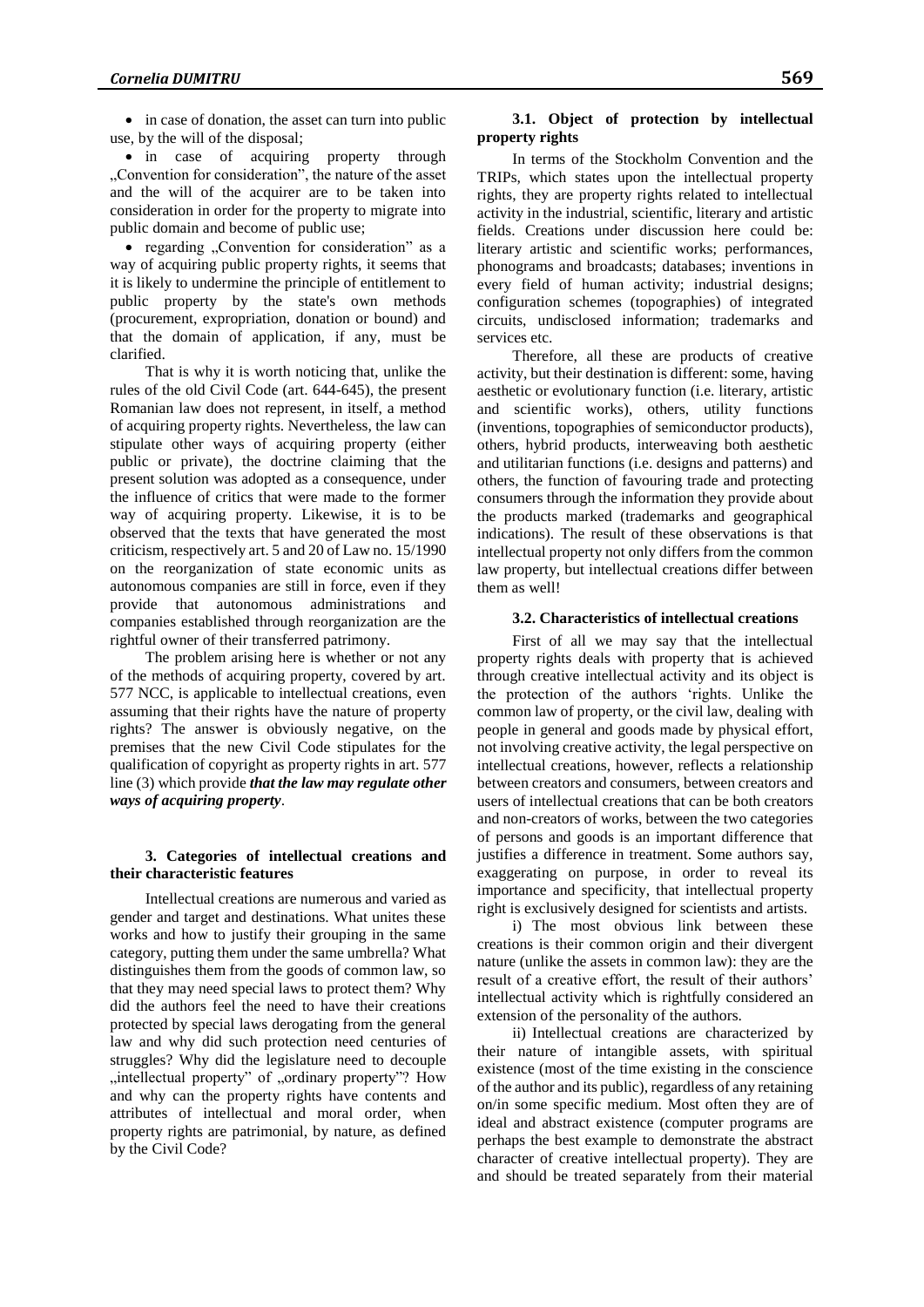• in case of donation, the asset can turn into public use, by the will of the disposal;

• in case of acquiring property through "Convention for consideration", the nature of the asset and the will of the acquirer are to be taken into consideration in order for the property to migrate into public domain and become of public use;

• regarding  $\sqrt{2}$ Convention for consideration" as a way of acquiring public property rights, it seems that it is likely to undermine the principle of entitlement to public property by the state's own methods (procurement, expropriation, donation or bound) and that the domain of application, if any, must be clarified.

That is why it is worth noticing that, unlike the rules of the old Civil Code (art. 644-645), the present Romanian law does not represent, in itself, a method of acquiring property rights. Nevertheless, the law can stipulate other ways of acquiring property (either public or private), the doctrine claiming that the present solution was adopted as a consequence, under the influence of critics that were made to the former way of acquiring property. Likewise, it is to be observed that the texts that have generated the most criticism, respectively art. 5 and 20 of Law no. 15/1990 on the reorganization of state economic units as autonomous companies are still in force, even if they provide that autonomous administrations and companies established through reorganization are the rightful owner of their transferred patrimony.

The problem arising here is whether or not any of the methods of acquiring property, covered by art. 577 NCC, is applicable to intellectual creations, even assuming that their rights have the nature of property rights? The answer is obviously negative, on the premises that the new Civil Code stipulates for the qualification of copyright as property rights in art. 577 line (3) which provide *that the law may regulate other ways of acquiring property*.

### **3. Categories of intellectual creations and their characteristic features**

Intellectual creations are numerous and varied as gender and target and destinations. What unites these works and how to justify their grouping in the same category, putting them under the same umbrella? What distinguishes them from the goods of common law, so that they may need special laws to protect them? Why did the authors feel the need to have their creations protected by special laws derogating from the general law and why did such protection need centuries of struggles? Why did the legislature need to decouple "intellectual property" of "ordinary property"? How and why can the property rights have contents and attributes of intellectual and moral order, when property rights are patrimonial, by nature, as defined by the Civil Code?

### **3.1. Object of protection by intellectual property rights**

In terms of the Stockholm Convention and the TRIPs, which states upon the intellectual property rights, they are property rights related to intellectual activity in the industrial, scientific, literary and artistic fields. Creations under discussion here could be: literary artistic and scientific works; performances, phonograms and broadcasts; databases; inventions in every field of human activity; industrial designs; configuration schemes (topographies) of integrated circuits, undisclosed information; trademarks and services etc.

Therefore, all these are products of creative activity, but their destination is different: some, having aesthetic or evolutionary function (i.e. literary, artistic and scientific works), others, utility functions (inventions, topographies of semiconductor products), others, hybrid products, interweaving both aesthetic and utilitarian functions (i.e. designs and patterns) and others, the function of favouring trade and protecting consumers through the information they provide about the products marked (trademarks and geographical indications). The result of these observations is that intellectual property not only differs from the common law property, but intellectual creations differ between them as well!

### **3.2. Characteristics of intellectual creations**

First of all we may say that the intellectual property rights deals with property that is achieved through creative intellectual activity and its object is the protection of the authors 'rights. Unlike the common law of property, or the civil law, dealing with people in general and goods made by physical effort, not involving creative activity, the legal perspective on intellectual creations, however, reflects a relationship between creators and consumers, between creators and users of intellectual creations that can be both creators and non-creators of works, between the two categories of persons and goods is an important difference that justifies a difference in treatment. Some authors say, exaggerating on purpose, in order to reveal its importance and specificity, that intellectual property right is exclusively designed for scientists and artists.

i) The most obvious link between these creations is their common origin and their divergent nature (unlike the assets in common law): they are the result of a creative effort, the result of their authors' intellectual activity which is rightfully considered an extension of the personality of the authors.

ii) Intellectual creations are characterized by their nature of intangible assets, with spiritual existence (most of the time existing in the conscience of the author and its public), regardless of any retaining on/in some specific medium. Most often they are of ideal and abstract existence (computer programs are perhaps the best example to demonstrate the abstract character of creative intellectual property). They are and should be treated separately from their material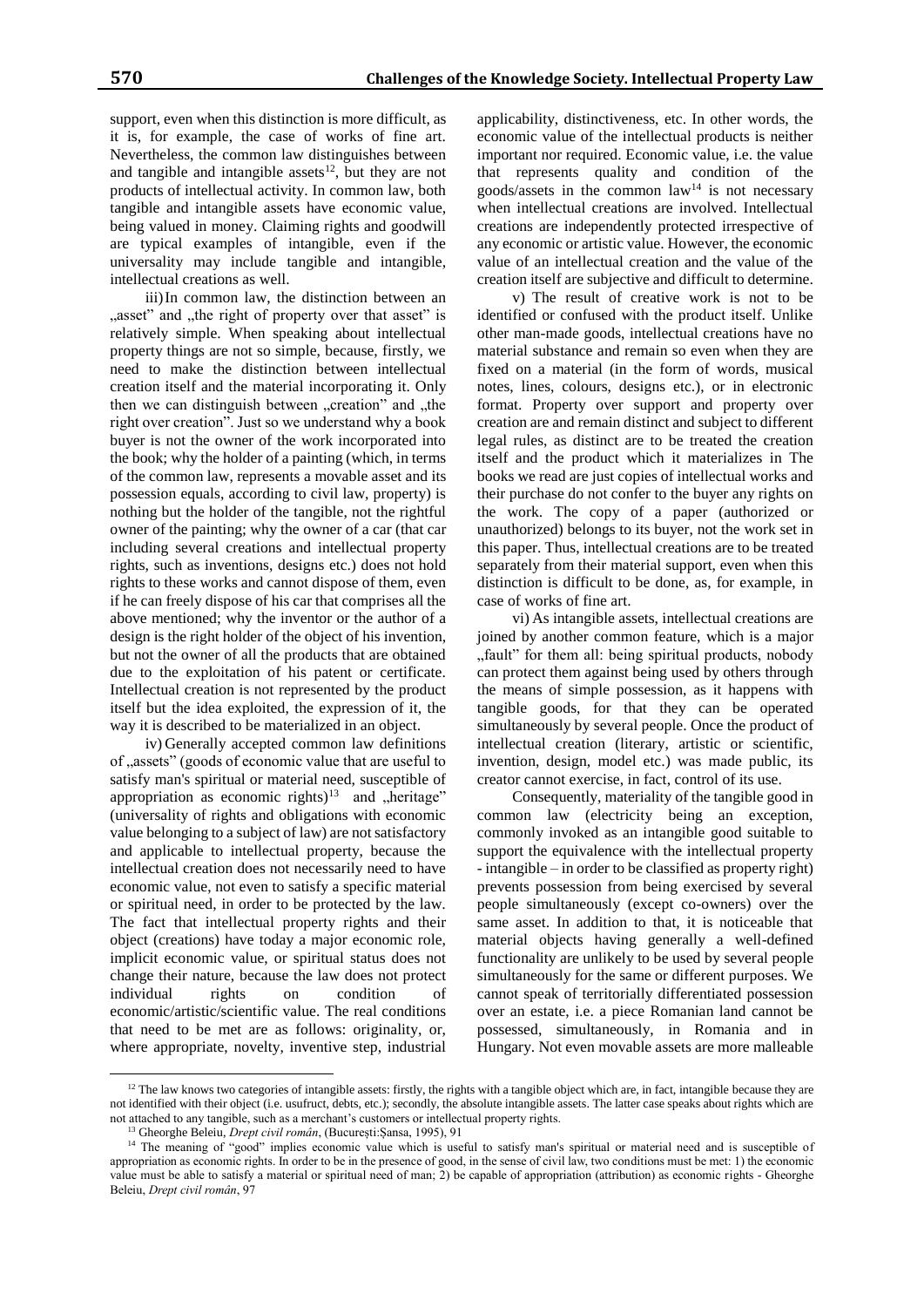support, even when this distinction is more difficult, as it is, for example, the case of works of fine art. Nevertheless, the common law distinguishes between and tangible and intangible assets $12$ , but they are not products of intellectual activity. In common law, both tangible and intangible assets have economic value, being valued in money. Claiming rights and goodwill are typical examples of intangible, even if the universality may include tangible and intangible, intellectual creations as well.

iii)In common law, the distinction between an "asset" and "the right of property over that asset" is relatively simple. When speaking about intellectual property things are not so simple, because, firstly, we need to make the distinction between intellectual creation itself and the material incorporating it. Only then we can distinguish between "creation" and "the right over creation". Just so we understand why a book buyer is not the owner of the work incorporated into the book; why the holder of a painting (which, in terms of the common law, represents a movable asset and its possession equals, according to civil law, property) is nothing but the holder of the tangible, not the rightful owner of the painting; why the owner of a car (that car including several creations and intellectual property rights, such as inventions, designs etc.) does not hold rights to these works and cannot dispose of them, even if he can freely dispose of his car that comprises all the above mentioned; why the inventor or the author of a design is the right holder of the object of his invention, but not the owner of all the products that are obtained due to the exploitation of his patent or certificate. Intellectual creation is not represented by the product itself but the idea exploited, the expression of it, the way it is described to be materialized in an object.

iv) Generally accepted common law definitions of "assets" (goods of economic value that are useful to satisfy man's spiritual or material need, susceptible of appropriation as economic rights)<sup>13</sup> and "heritage" (universality of rights and obligations with economic value belonging to a subject of law) are not satisfactory and applicable to intellectual property, because the intellectual creation does not necessarily need to have economic value, not even to satisfy a specific material or spiritual need, in order to be protected by the law. The fact that intellectual property rights and their object (creations) have today a major economic role, implicit economic value, or spiritual status does not change their nature, because the law does not protect individual rights on condition of economic/artistic/scientific value. The real conditions that need to be met are as follows: originality, or, where appropriate, novelty, inventive step, industrial

applicability, distinctiveness, etc. In other words, the economic value of the intellectual products is neither important nor required. Economic value, i.e. the value that represents quality and condition of the goods/assets in the common  $law<sup>14</sup>$  is not necessary when intellectual creations are involved. Intellectual creations are independently protected irrespective of any economic or artistic value. However, the economic value of an intellectual creation and the value of the creation itself are subjective and difficult to determine.

v) The result of creative work is not to be identified or confused with the product itself. Unlike other man-made goods, intellectual creations have no material substance and remain so even when they are fixed on a material (in the form of words, musical notes, lines, colours, designs etc.), or in electronic format. Property over support and property over creation are and remain distinct and subject to different legal rules, as distinct are to be treated the creation itself and the product which it materializes in The books we read are just copies of intellectual works and their purchase do not confer to the buyer any rights on the work. The copy of a paper (authorized or unauthorized) belongs to its buyer, not the work set in this paper. Thus, intellectual creations are to be treated separately from their material support, even when this distinction is difficult to be done, as, for example, in case of works of fine art.

vi) As intangible assets, intellectual creations are joined by another common feature, which is a major "fault" for them all: being spiritual products, nobody can protect them against being used by others through the means of simple possession, as it happens with tangible goods, for that they can be operated simultaneously by several people. Once the product of intellectual creation (literary, artistic or scientific, invention, design, model etc.) was made public, its creator cannot exercise, in fact, control of its use.

Consequently, materiality of the tangible good in common law (electricity being an exception, commonly invoked as an intangible good suitable to support the equivalence with the intellectual property - intangible – in order to be classified as property right) prevents possession from being exercised by several people simultaneously (except co-owners) over the same asset. In addition to that, it is noticeable that material objects having generally a well-defined functionality are unlikely to be used by several people simultaneously for the same or different purposes. We cannot speak of territorially differentiated possession over an estate, i.e. a piece Romanian land cannot be possessed, simultaneously, in Romania and in Hungary. Not even movable assets are more malleable

 $\overline{a}$ 

 $12$  The law knows two categories of intangible assets: firstly, the rights with a tangible object which are, in fact, intangible because they are not identified with their object (i.e. usufruct, debts, etc.); secondly, the absolute intangible assets. The latter case speaks about rights which are not attached to any tangible, such as a merchant's customers or intellectual property rights.

<sup>13</sup> Gheorghe Beleiu, *Drept civil român*, (București:Șansa, 1995), 91

<sup>&</sup>lt;sup>14</sup> The meaning of "good" implies economic value which is useful to satisfy man's spiritual or material need and is susceptible of appropriation as economic rights. In order to be in the presence of good, in the sense of civil law, two conditions must be met: 1) the economic value must be able to satisfy a material or spiritual need of man; 2) be capable of appropriation (attribution) as economic rights - Gheorghe Beleiu, *Drept civil român*, 97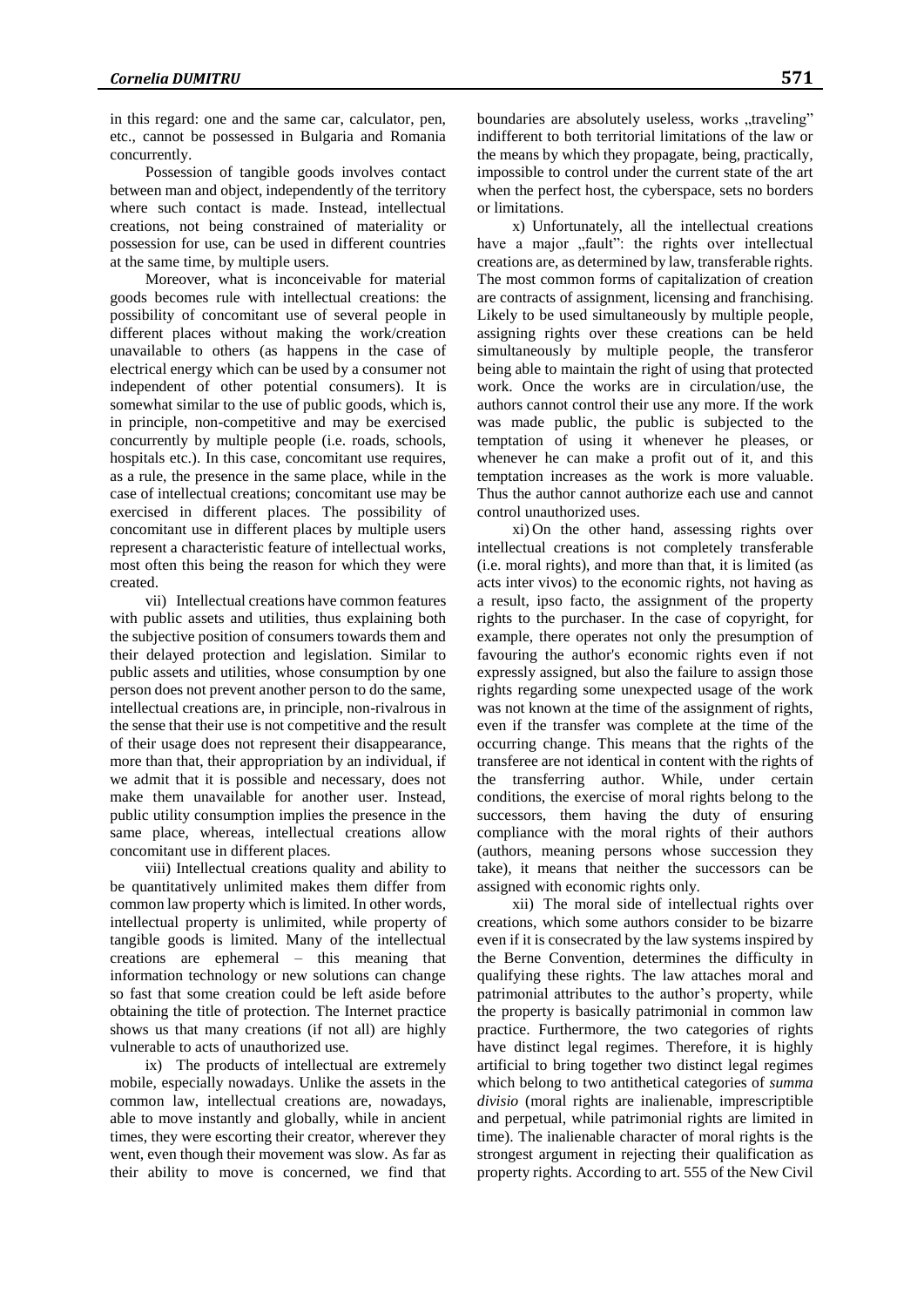in this regard: one and the same car, calculator, pen, etc., cannot be possessed in Bulgaria and Romania concurrently.

Possession of tangible goods involves contact between man and object, independently of the territory where such contact is made. Instead, intellectual creations, not being constrained of materiality or possession for use, can be used in different countries at the same time, by multiple users.

Moreover, what is inconceivable for material goods becomes rule with intellectual creations: the possibility of concomitant use of several people in different places without making the work/creation unavailable to others (as happens in the case of electrical energy which can be used by a consumer not independent of other potential consumers). It is somewhat similar to the use of public goods, which is, in principle, non-competitive and may be exercised concurrently by multiple people (i.e. roads, schools, hospitals etc.). In this case, concomitant use requires, as a rule, the presence in the same place, while in the case of intellectual creations; concomitant use may be exercised in different places. The possibility of concomitant use in different places by multiple users represent a characteristic feature of intellectual works, most often this being the reason for which they were created.

vii) Intellectual creations have common features with public assets and utilities, thus explaining both the subjective position of consumers towards them and their delayed protection and legislation. Similar to public assets and utilities, whose consumption by one person does not prevent another person to do the same, intellectual creations are, in principle, non-rivalrous in the sense that their use is not competitive and the result of their usage does not represent their disappearance, more than that, their appropriation by an individual, if we admit that it is possible and necessary, does not make them unavailable for another user. Instead, public utility consumption implies the presence in the same place, whereas, intellectual creations allow concomitant use in different places.

viii) Intellectual creations quality and ability to be quantitatively unlimited makes them differ from common law property which is limited. In other words, intellectual property is unlimited, while property of tangible goods is limited. Many of the intellectual creations are ephemeral – this meaning that information technology or new solutions can change so fast that some creation could be left aside before obtaining the title of protection. The Internet practice shows us that many creations (if not all) are highly vulnerable to acts of unauthorized use.

ix) The products of intellectual are extremely mobile, especially nowadays. Unlike the assets in the common law, intellectual creations are, nowadays, able to move instantly and globally, while in ancient times, they were escorting their creator, wherever they went, even though their movement was slow. As far as their ability to move is concerned, we find that

boundaries are absolutely useless, works "traveling" indifferent to both territorial limitations of the law or the means by which they propagate, being, practically, impossible to control under the current state of the art when the perfect host, the cyberspace, sets no borders or limitations.

x) Unfortunately, all the intellectual creations have a major "fault": the rights over intellectual creations are, as determined by law, transferable rights. The most common forms of capitalization of creation are contracts of assignment, licensing and franchising. Likely to be used simultaneously by multiple people, assigning rights over these creations can be held simultaneously by multiple people, the transferor being able to maintain the right of using that protected work. Once the works are in circulation/use, the authors cannot control their use any more. If the work was made public, the public is subjected to the temptation of using it whenever he pleases, or whenever he can make a profit out of it, and this temptation increases as the work is more valuable. Thus the author cannot authorize each use and cannot control unauthorized uses.

xi) On the other hand, assessing rights over intellectual creations is not completely transferable (i.e. moral rights), and more than that, it is limited (as acts inter vivos) to the economic rights, not having as a result, ipso facto, the assignment of the property rights to the purchaser. In the case of copyright, for example, there operates not only the presumption of favouring the author's economic rights even if not expressly assigned, but also the failure to assign those rights regarding some unexpected usage of the work was not known at the time of the assignment of rights, even if the transfer was complete at the time of the occurring change. This means that the rights of the transferee are not identical in content with the rights of the transferring author. While, under certain conditions, the exercise of moral rights belong to the successors, them having the duty of ensuring compliance with the moral rights of their authors (authors, meaning persons whose succession they take), it means that neither the successors can be assigned with economic rights only.

xii) The moral side of intellectual rights over creations, which some authors consider to be bizarre even if it is consecrated by the law systems inspired by the Berne Convention, determines the difficulty in qualifying these rights. The law attaches moral and patrimonial attributes to the author's property, while the property is basically patrimonial in common law practice. Furthermore, the two categories of rights have distinct legal regimes. Therefore, it is highly artificial to bring together two distinct legal regimes which belong to two antithetical categories of *summa divisio* (moral rights are inalienable, imprescriptible and perpetual, while patrimonial rights are limited in time). The inalienable character of moral rights is the strongest argument in rejecting their qualification as property rights. According to art. 555 of the New Civil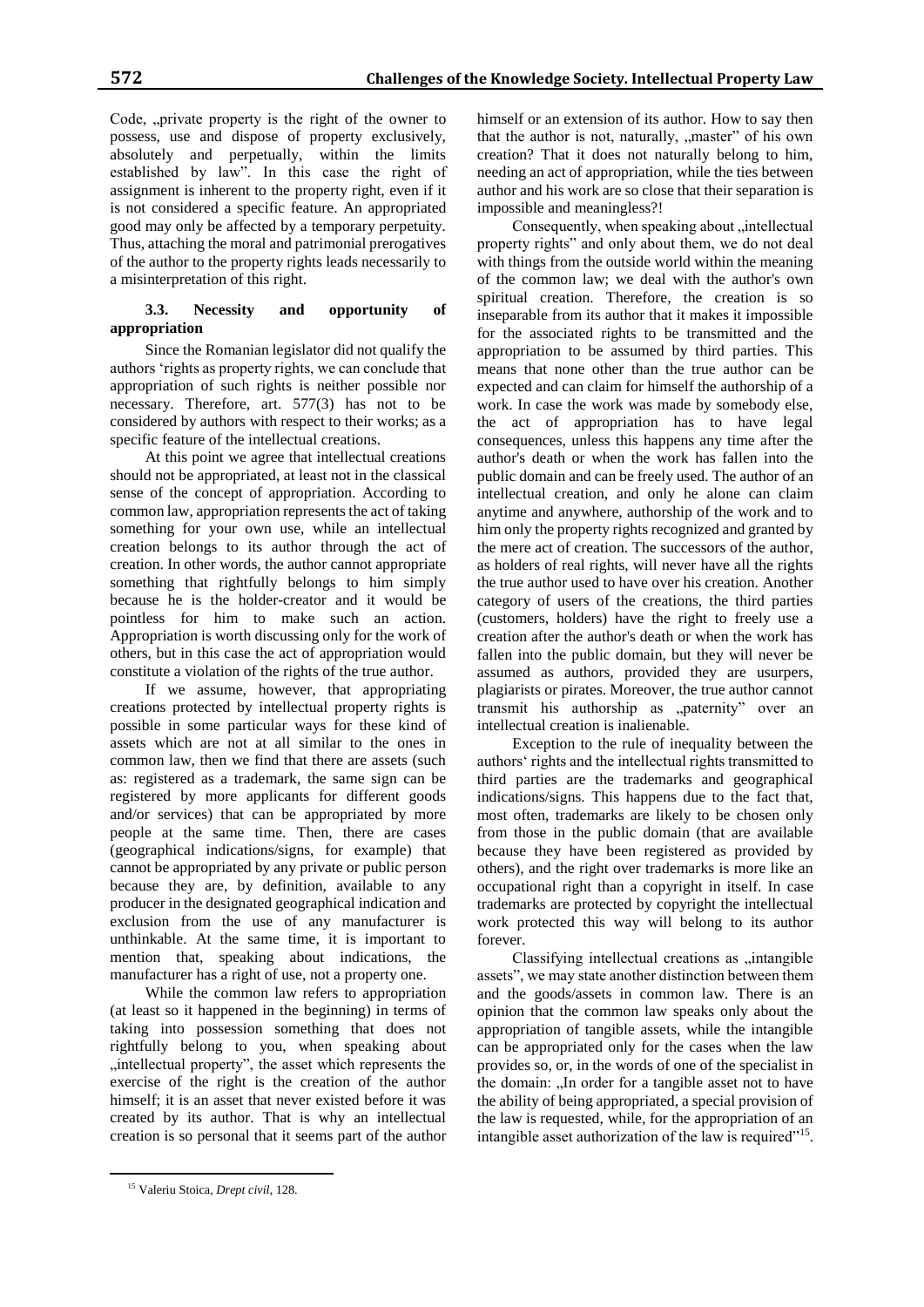Code, "private property is the right of the owner to possess, use and dispose of property exclusively, absolutely and perpetually, within the limits established by law". In this case the right of assignment is inherent to the property right, even if it is not considered a specific feature. An appropriated good may only be affected by a temporary perpetuity. Thus, attaching the moral and patrimonial prerogatives of the author to the property rights leads necessarily to a misinterpretation of this right.

## **3.3. Necessity and opportunity of appropriation**

Since the Romanian legislator did not qualify the authors 'rights as property rights, we can conclude that appropriation of such rights is neither possible nor necessary. Therefore, art. 577(3) has not to be considered by authors with respect to their works; as a specific feature of the intellectual creations.

At this point we agree that intellectual creations should not be appropriated, at least not in the classical sense of the concept of appropriation. According to common law, appropriation represents the act of taking something for your own use, while an intellectual creation belongs to its author through the act of creation. In other words, the author cannot appropriate something that rightfully belongs to him simply because he is the holder-creator and it would be pointless for him to make such an action. Appropriation is worth discussing only for the work of others, but in this case the act of appropriation would constitute a violation of the rights of the true author.

If we assume, however, that appropriating creations protected by intellectual property rights is possible in some particular ways for these kind of assets which are not at all similar to the ones in common law, then we find that there are assets (such as: registered as a trademark, the same sign can be registered by more applicants for different goods and/or services) that can be appropriated by more people at the same time. Then, there are cases (geographical indications/signs, for example) that cannot be appropriated by any private or public person because they are, by definition, available to any producer in the designated geographical indication and exclusion from the use of any manufacturer is unthinkable. At the same time, it is important to mention that, speaking about indications, the manufacturer has a right of use, not a property one.

While the common law refers to appropriation (at least so it happened in the beginning) in terms of taking into possession something that does not rightfully belong to you, when speaking about "intellectual property", the asset which represents the exercise of the right is the creation of the author himself; it is an asset that never existed before it was created by its author. That is why an intellectual creation is so personal that it seems part of the author

himself or an extension of its author. How to say then that the author is not, naturally, "master" of his own creation? That it does not naturally belong to him, needing an act of appropriation, while the ties between author and his work are so close that their separation is impossible and meaningless?!

Consequently, when speaking about "intellectual property rights" and only about them, we do not deal with things from the outside world within the meaning of the common law; we deal with the author's own spiritual creation. Therefore, the creation is so inseparable from its author that it makes it impossible for the associated rights to be transmitted and the appropriation to be assumed by third parties. This means that none other than the true author can be expected and can claim for himself the authorship of a work. In case the work was made by somebody else, the act of appropriation has to have legal consequences, unless this happens any time after the author's death or when the work has fallen into the public domain and can be freely used. The author of an intellectual creation, and only he alone can claim anytime and anywhere, authorship of the work and to him only the property rights recognized and granted by the mere act of creation. The successors of the author, as holders of real rights, will never have all the rights the true author used to have over his creation. Another category of users of the creations, the third parties (customers, holders) have the right to freely use a creation after the author's death or when the work has fallen into the public domain, but they will never be assumed as authors, provided they are usurpers, plagiarists or pirates. Moreover, the true author cannot transmit his authorship as "paternity" over an intellectual creation is inalienable.

Exception to the rule of inequality between the authors' rights and the intellectual rights transmitted to third parties are the trademarks and geographical indications/signs. This happens due to the fact that, most often, trademarks are likely to be chosen only from those in the public domain (that are available because they have been registered as provided by others), and the right over trademarks is more like an occupational right than a copyright in itself. In case trademarks are protected by copyright the intellectual work protected this way will belong to its author forever.

Classifying intellectual creations as "intangible assets", we may state another distinction between them and the goods/assets in common law. There is an opinion that the common law speaks only about the appropriation of tangible assets, while the intangible can be appropriated only for the cases when the law provides so, or, in the words of one of the specialist in the domain: "In order for a tangible asset not to have the ability of being appropriated, a special provision of the law is requested, while, for the appropriation of an intangible asset authorization of the law is required"<sup>15</sup>.

 $\overline{a}$ 

<sup>15</sup> Valeriu Stoica, *Drept civil*, 128.